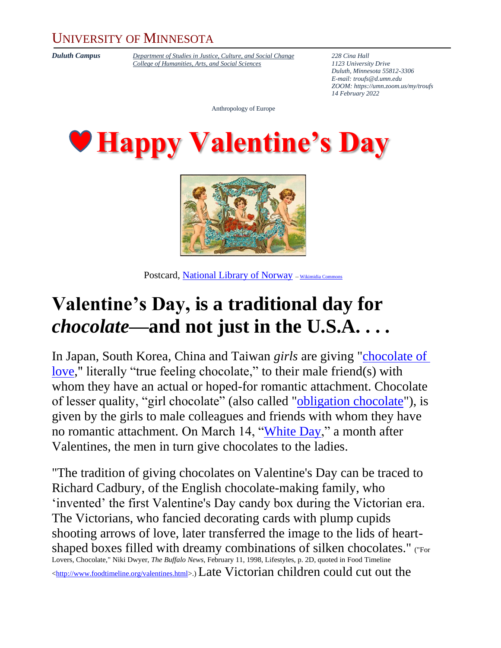## UNIVERSITY OF MINNESOTA

*Duluth Campus [Department of Studies in Justice, Culture, and Social Change](https://cahss.d.umn.edu/departments/studies-justice-culture-social-change/anthropology) 228 Cina Hall [College of Humanities, Arts, and Social Sciences](https://cahss.d.umn.edu/) 1123 University Drive*

*Duluth, Minnesota 55812-3306 E-mail: [troufs@d.umn.edu](mailto:troufs@d.umn.edu) ZOOM[: https://umn.zoom.us/my/troufs](https://umn.zoom.us/my/troufs) 14 February 2022*

Anthropology of Europe





Postcard, [National Library of Norway](https://www.flickr.com/people/48220291@N04) -- [Wikimidia Commons](https://commons.wikimedia.org/wiki/)

## **Valentine's Day, is a traditional day for**  *chocolate***—and not just in the U.S.A. . . .**

In Japan, South Korea, China and Taiwan *girls* are giving ["chocolate of](http://en.wikipedia.org/wiki/Honmei_choco)  [love,](http://en.wikipedia.org/wiki/Honmei_choco)" literally "true feeling chocolate," to their male friend(s) with whom they have an actual or hoped-for romantic attachment. Chocolate of lesser quality, "girl chocolate" (also called ["obligation chocolate"](http://en.wikipedia.org/wiki/Giri_choco)), is given by the girls to male colleagues and friends with whom they have no romantic attachment. On March 14, ["White Day,](http://en.wikipedia.org/wiki/White_day)" a month after Valentines, the men in turn give chocolates to the ladies.

"The tradition of giving chocolates on Valentine's Day can be traced to Richard Cadbury, of the English chocolate-making family, who 'invented' the first Valentine's Day candy box during the Victorian era. The Victorians, who fancied decorating cards with plump cupids shooting arrows of love, later transferred the image to the lids of heartshaped boxes filled with dreamy combinations of silken chocolates." ("For Lovers, Chocolate," Niki Dwyer, *The Buffalo News*, February 11, 1998, Lifestyles, p. 2D, quoted in Food Timeline [<http://www.foodtimeline.org/valentines.html>](http://www.foodtimeline.org/valentines.html).)Late Victorian children could cut out the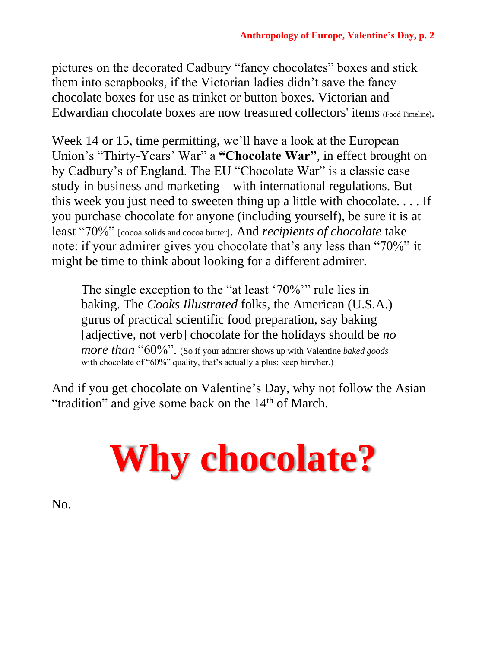pictures on the decorated Cadbury "fancy chocolates" boxes and stick them into scrapbooks, if the Victorian ladies didn't save the fancy chocolate boxes for use as trinket or button boxes. Victorian and Edwardian chocolate boxes are now treasured collectors' items (Food Timeline).

Week 14 or 15, time permitting, we'll have a look at the European Union's "Thirty-Years' War" a **"Chocolate War"**, in effect brought on by Cadbury's of England. The EU "Chocolate War" is a classic case study in business and marketing—with international regulations. But this week you just need to sweeten thing up a little with chocolate. . . . If you purchase chocolate for anyone (including yourself), be sure it is at least "70%" [cocoa solids and cocoa butter]. And *recipients of chocolate* take note: if your admirer gives you chocolate that's any less than "70%" it might be time to think about looking for a different admirer.

The single exception to the "at least '70%'" rule lies in baking. The *Cooks Illustrated* folks, the American (U.S.A.) gurus of practical scientific food preparation, say baking [adjective, not verb] chocolate for the holidays should be *no more than* "60%". (So if your admirer shows up with Valentine *baked goods* with chocolate of "60%" quality, that's actually a plus; keep him/her.)

And if you get chocolate on Valentine's Day, why not follow the Asian "tradition" and give some back on the 14<sup>th</sup> of March.



No.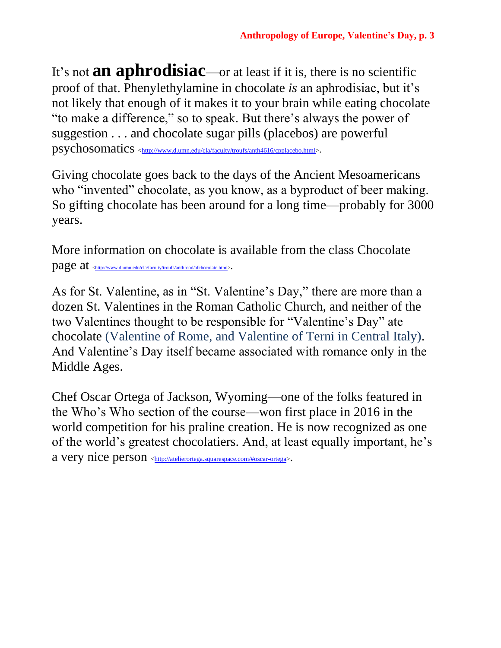It's not **an aphrodisiac**—or at least if it is, there is no scientific proof of that. Phenylethylamine in chocolate *is* an aphrodisiac, but it's not likely that enough of it makes it to your brain while eating chocolate "to make a difference," so to speak. But there's always the power of suggestion . . . and chocolate sugar pills (placebos) are powerful psychosomatics [<http://www.d.umn.edu/cla/faculty/troufs/anth4616/cpplacebo.html>](http://www.d.umn.edu/cla/faculty/troufs/anth4616/cpplacebo.html).

Giving chocolate goes back to the days of the Ancient Mesoamericans who "invented" chocolate, as you know, as a byproduct of beer making. So gifting chocolate has been around for a long time—probably for 3000 years.

More information on chocolate is available from the class Chocolate page at  $_{\text{http://www.d.umm.edu/cla/faculty/troufs/anthfood/afchocolate.html>}.$ 

As for St. Valentine, as in "St. Valentine's Day," there are more than a dozen St. Valentines in the Roman Catholic Church, and neither of the two Valentines thought to be responsible for "Valentine's Day" ate chocolate (Valentine of Rome, and Valentine of Terni in Central Italy). And Valentine's Day itself became associated with romance only in the Middle Ages.

Chef Oscar Ortega of Jackson, Wyoming—one of the folks featured in the Who's Who section of the course—won first place in 2016 in the world competition for his praline creation. He is now recognized as one of the world's greatest chocolatiers. And, at least equally important, he's a very nice person [<http://atelierortega.squarespace.com/#oscar-ortega>](http://atelierortega.squarespace.com/#oscar-ortega).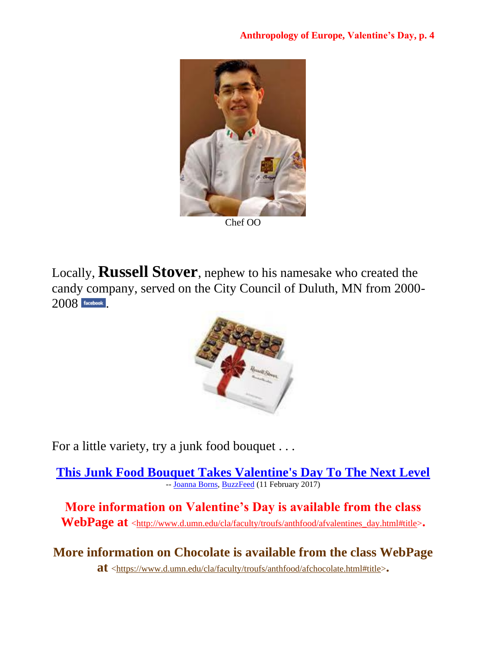

Locally, **Russell Stover**, nephew to his namesake who created the candy company, served on the City Council of Duluth, MN from 2000 2008**facebook**.



For a little variety, try a junk food bouquet . . .

**This Junk Food [Bouquet Takes Valentine's Day To The Next Level](https://www.buzzfeed.com/joannaborns/food-bouquet-valentines-day?utm_term=.aypzyvkWr#.xbLyLvRe3)** -- [Joanna Borns,](https://www.buzzfeed.com/joannaborns?language=en) [BuzzFeed](https://www.buzzfeed.com/) (11 February 2017)

**More information on Valentine's Day is available from the class WebPage at** [<http://www.d.umn.edu/cla/faculty/troufs/anthfood/afvalentines\\_day.html#title>](http://www.d.umn.edu/cla/faculty/troufs/anthfood/afvalentines_day.html#title)**.**

**More information on Chocolate is available from the class WebPage at** [<https://www.d.umn.edu/cla/faculty/troufs/anthfood/afchocolate.html#title>](https://www.d.umn.edu/cla/faculty/troufs/anthfood/afchocolate.html#title)**.**